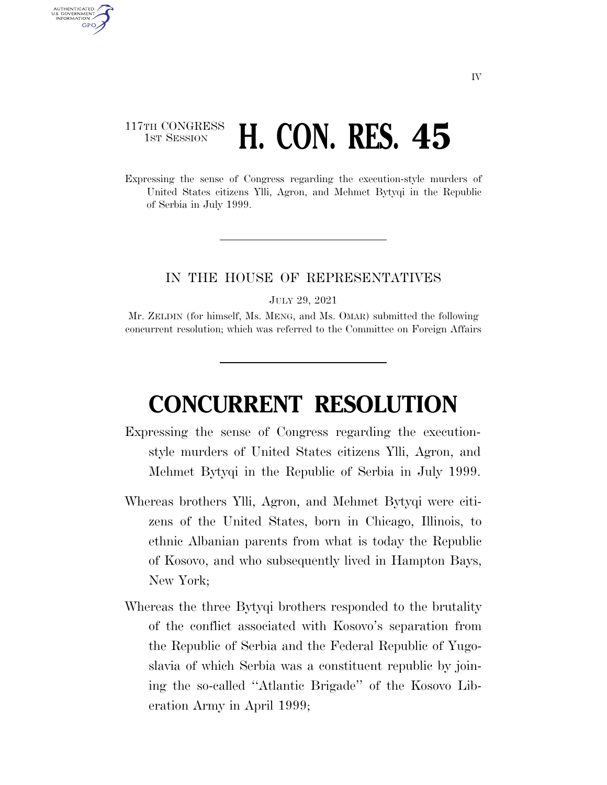## 117TH CONGRESS **1st Session H. CON. RES. 45**

AUTHENTICATED U.S. GOVERNMENT **GPO** 

> Expressing the sense of Congress regarding the execution-style murders of United States citizens Ylli, Agron, and Mehmet Bytyqi in the Republic of Serbia in July 1999.

## IN THE HOUSE OF REPRESENTATIVES

JULY 29, 2021

Mr. ZELDIN (for himself, Ms. MENG, and Ms. OMAR) submitted the following concurrent resolution; which was referred to the Committee on Foreign Affairs

## **CONCURRENT RESOLUTION**

- Expressing the sense of Congress regarding the executionstyle murders of United States citizens Ylli, Agron, and Mehmet Bytyqi in the Republic of Serbia in July 1999.
- Whereas brothers Ylli, Agron, and Mehmet Bytyqi were citizens of the United States, born in Chicago, Illinois, to ethnic Albanian parents from what is today the Republic of Kosovo, and who subsequently lived in Hampton Bays, New York;
- Whereas the three Bytyqi brothers responded to the brutality of the conflict associated with Kosovo's separation from the Republic of Serbia and the Federal Republic of Yugoslavia of which Serbia was a constituent republic by joining the so-called ''Atlantic Brigade'' of the Kosovo Liberation Army in April 1999;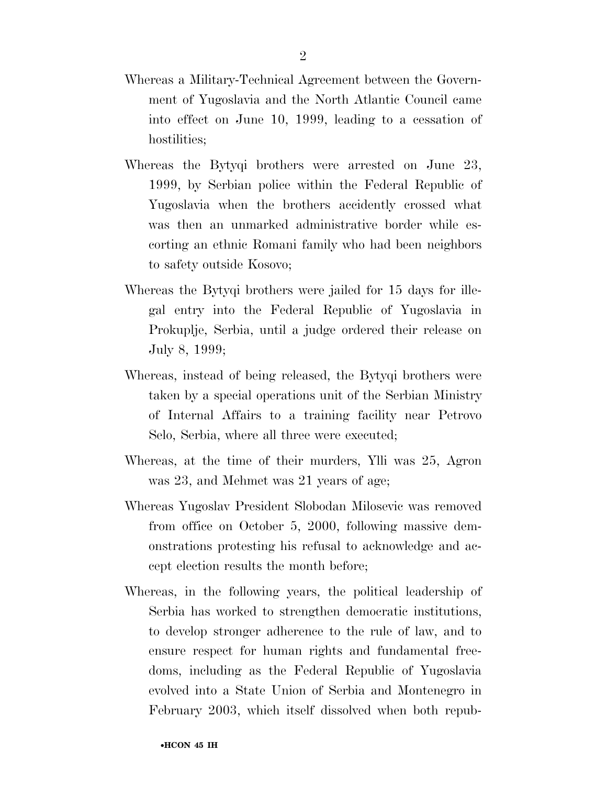- Whereas a Military-Technical Agreement between the Government of Yugoslavia and the North Atlantic Council came into effect on June 10, 1999, leading to a cessation of hostilities;
- Whereas the Bytyqi brothers were arrested on June 23, 1999, by Serbian police within the Federal Republic of Yugoslavia when the brothers accidently crossed what was then an unmarked administrative border while escorting an ethnic Romani family who had been neighbors to safety outside Kosovo;
- Whereas the Bytyqi brothers were jailed for 15 days for illegal entry into the Federal Republic of Yugoslavia in Prokuplje, Serbia, until a judge ordered their release on July 8, 1999;
- Whereas, instead of being released, the Bytyqi brothers were taken by a special operations unit of the Serbian Ministry of Internal Affairs to a training facility near Petrovo Selo, Serbia, where all three were executed;
- Whereas, at the time of their murders, Ylli was 25, Agron was 23, and Mehmet was 21 years of age;
- Whereas Yugoslav President Slobodan Milosevic was removed from office on October 5, 2000, following massive demonstrations protesting his refusal to acknowledge and accept election results the month before;
- Whereas, in the following years, the political leadership of Serbia has worked to strengthen democratic institutions, to develop stronger adherence to the rule of law, and to ensure respect for human rights and fundamental freedoms, including as the Federal Republic of Yugoslavia evolved into a State Union of Serbia and Montenegro in February 2003, which itself dissolved when both repub-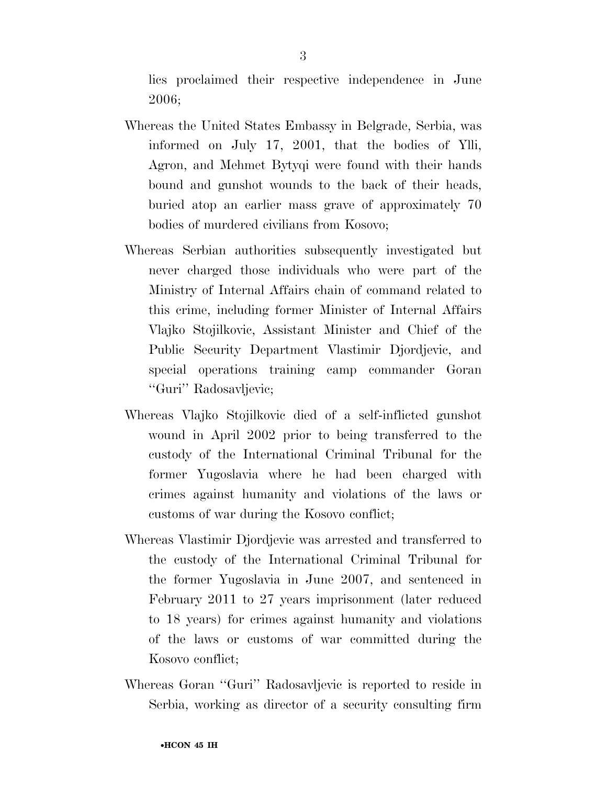lics proclaimed their respective independence in June 2006;

- Whereas the United States Embassy in Belgrade, Serbia, was informed on July 17, 2001, that the bodies of Ylli, Agron, and Mehmet Bytyqi were found with their hands bound and gunshot wounds to the back of their heads, buried atop an earlier mass grave of approximately 70 bodies of murdered civilians from Kosovo;
- Whereas Serbian authorities subsequently investigated but never charged those individuals who were part of the Ministry of Internal Affairs chain of command related to this crime, including former Minister of Internal Affairs Vlajko Stojilkovic, Assistant Minister and Chief of the Public Security Department Vlastimir Djordjevic, and special operations training camp commander Goran ''Guri'' Radosavljevic;
- Whereas Vlajko Stojilkovic died of a self-inflicted gunshot wound in April 2002 prior to being transferred to the custody of the International Criminal Tribunal for the former Yugoslavia where he had been charged with crimes against humanity and violations of the laws or customs of war during the Kosovo conflict;
- Whereas Vlastimir Djordjevic was arrested and transferred to the custody of the International Criminal Tribunal for the former Yugoslavia in June 2007, and sentenced in February 2011 to 27 years imprisonment (later reduced to 18 years) for crimes against humanity and violations of the laws or customs of war committed during the Kosovo conflict;
- Whereas Goran ''Guri'' Radosavljevic is reported to reside in Serbia, working as director of a security consulting firm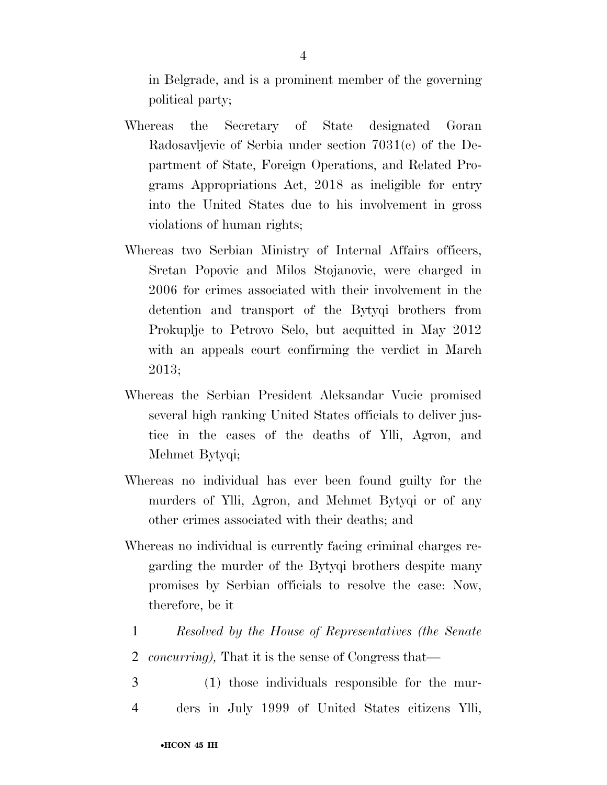in Belgrade, and is a prominent member of the governing political party;

- Whereas the Secretary of State designated Goran Radosavljevic of Serbia under section 7031(c) of the Department of State, Foreign Operations, and Related Programs Appropriations Act, 2018 as ineligible for entry into the United States due to his involvement in gross violations of human rights;
- Whereas two Serbian Ministry of Internal Affairs officers, Sretan Popovic and Milos Stojanovic, were charged in 2006 for crimes associated with their involvement in the detention and transport of the Bytyqi brothers from Prokuplje to Petrovo Selo, but acquitted in May 2012 with an appeals court confirming the verdict in March 2013;
- Whereas the Serbian President Aleksandar Vucic promised several high ranking United States officials to deliver justice in the cases of the deaths of Ylli, Agron, and Mehmet Bytyqi;
- Whereas no individual has ever been found guilty for the murders of Ylli, Agron, and Mehmet Bytyqi or of any other crimes associated with their deaths; and
- Whereas no individual is currently facing criminal charges regarding the murder of the Bytyqi brothers despite many promises by Serbian officials to resolve the case: Now, therefore, be it
	- 1 *Resolved by the House of Representatives (the Senate*
	- 2 *concurring),* That it is the sense of Congress that—
- 3 (1) those individuals responsible for the mur-4 ders in July 1999 of United States citizens Ylli,